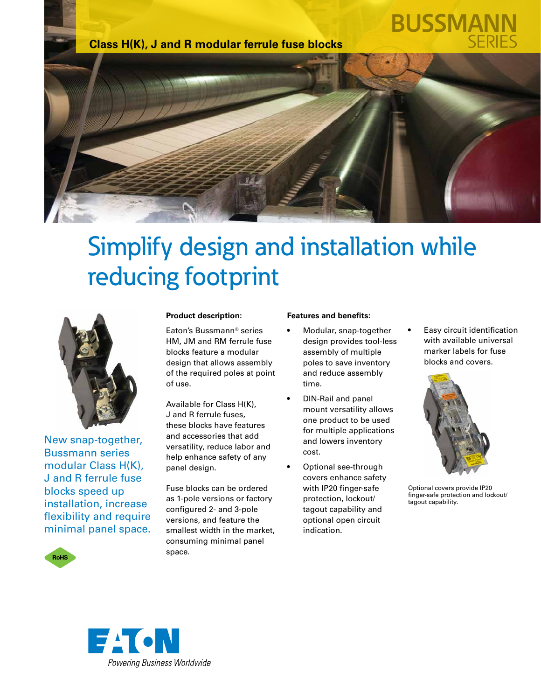

# **BUSSMAN**



## Simplify design and installation while reducing footprint



New snap-together, Bussmann series modular Class H(K), J and R ferrule fuse blocks speed up installation, increase flexibility and require minimal panel space.



#### **Product description:**

Eaton's Bussmann® series HM, JM and RM ferrule fuse blocks feature a modular design that allows assembly of the required poles at point of use.

Available for Class H(K), J and R ferrule fuses, these blocks have features and accessories that add versatility, reduce labor and help enhance safety of any panel design.

Fuse blocks can be ordered as 1-pole versions or factory configured 2- and 3-pole versions, and feature the smallest width in the market, consuming minimal panel space.

#### **Features and benefits:**

- Modular, snap-together design provides tool-less assembly of multiple poles to save inventory and reduce assembly time.
- DIN-Rail and panel mount versatility allows one product to be used for multiple applications and lowers inventory cost.
- Optional see-through covers enhance safety with IP20 finger-safe protection, lockout/ tagout capability and optional open circuit indication.

• Easy circuit identification with available universal marker labels for fuse blocks and covers.



Optional covers provide IP20 finger-safe protection and lockout/ tagout capability.